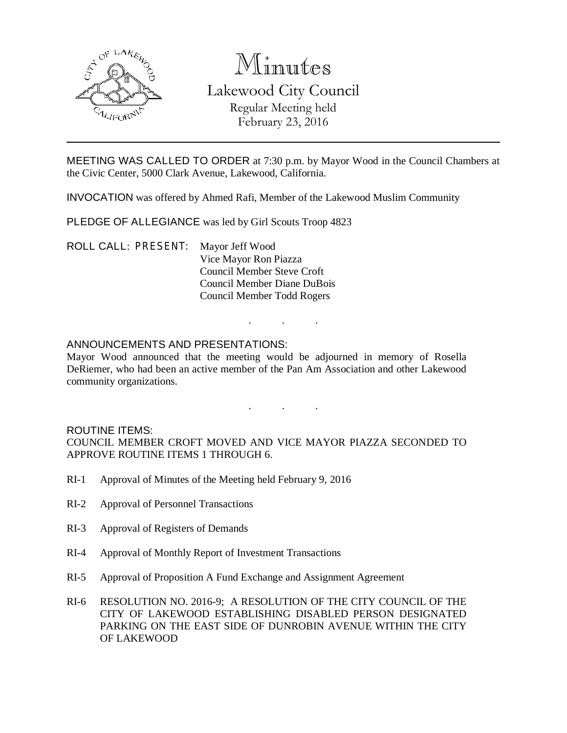

# Minutes

# Lakewood City Council Regular Meeting held February 23, 2016

MEETING WAS CALLED TO ORDER at 7:30 p.m. by Mayor Wood in the Council Chambers at the Civic Center, 5000 Clark Avenue, Lakewood, California.

INVOCATION was offered by Ahmed Rafi, Member of the Lakewood Muslim Community

PLEDGE OF ALLEGIANCE was led by Girl Scouts Troop 4823

ROLL CALL: PRESENT: Mayor Jeff Wood Vice Mayor Ron Piazza Council Member Steve Croft Council Member Diane DuBois Council Member Todd Rogers

#### ANNOUNCEMENTS AND PRESENTATIONS:

Mayor Wood announced that the meeting would be adjourned in memory of Rosella DeRiemer, who had been an active member of the Pan Am Association and other Lakewood community organizations.

. . .

. . .

#### ROUTINE ITEMS:

COUNCIL MEMBER CROFT MOVED AND VICE MAYOR PIAZZA SECONDED TO APPROVE ROUTINE ITEMS 1 THROUGH 6.

- RI-1 Approval of Minutes of the Meeting held February 9, 2016
- RI-2 Approval of Personnel Transactions
- RI-3 Approval of Registers of Demands
- RI-4 Approval of Monthly Report of Investment Transactions
- RI-5 Approval of Proposition A Fund Exchange and Assignment Agreement
- RI-6 RESOLUTION NO. 2016-9; A RESOLUTION OF THE CITY COUNCIL OF THE CITY OF LAKEWOOD ESTABLISHING DISABLED PERSON DESIGNATED PARKING ON THE EAST SIDE OF DUNROBIN AVENUE WITHIN THE CITY OF LAKEWOOD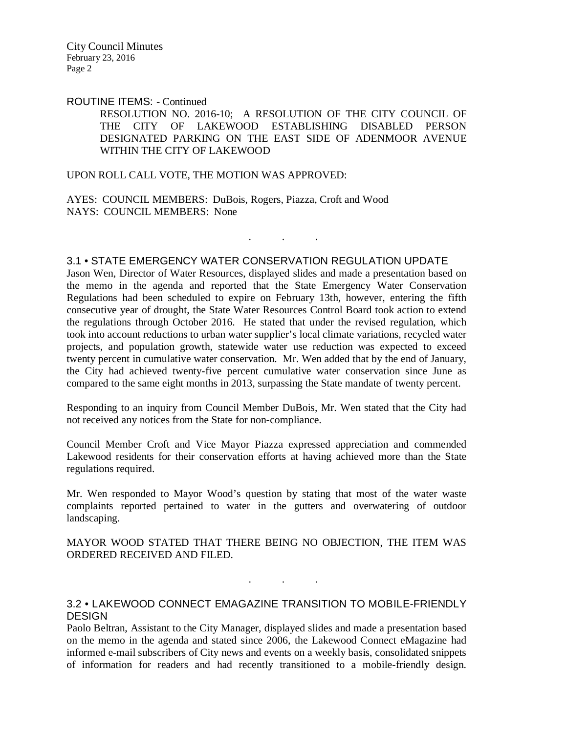City Council Minutes February 23, 2016 Page 2

#### ROUTINE ITEMS: - Continued

RESOLUTION NO. 2016-10; A RESOLUTION OF THE CITY COUNCIL OF THE CITY OF LAKEWOOD ESTABLISHING DISABLED PERSON DESIGNATED PARKING ON THE EAST SIDE OF ADENMOOR AVENUE WITHIN THE CITY OF LAKEWOOD

. . .

UPON ROLL CALL VOTE, THE MOTION WAS APPROVED:

AYES: COUNCIL MEMBERS: DuBois, Rogers, Piazza, Croft and Wood NAYS: COUNCIL MEMBERS: None

# 3.1 • STATE EMERGENCY WATER CONSERVATION REGULATION UPDATE

Jason Wen, Director of Water Resources, displayed slides and made a presentation based on the memo in the agenda and reported that the State Emergency Water Conservation Regulations had been scheduled to expire on February 13th, however, entering the fifth consecutive year of drought, the State Water Resources Control Board took action to extend the regulations through October 2016. He stated that under the revised regulation, which took into account reductions to urban water supplier's local climate variations, recycled water projects, and population growth, statewide water use reduction was expected to exceed twenty percent in cumulative water conservation. Mr. Wen added that by the end of January, the City had achieved twenty-five percent cumulative water conservation since June as compared to the same eight months in 2013, surpassing the State mandate of twenty percent.

Responding to an inquiry from Council Member DuBois, Mr. Wen stated that the City had not received any notices from the State for non-compliance.

Council Member Croft and Vice Mayor Piazza expressed appreciation and commended Lakewood residents for their conservation efforts at having achieved more than the State regulations required.

Mr. Wen responded to Mayor Wood's question by stating that most of the water waste complaints reported pertained to water in the gutters and overwatering of outdoor landscaping.

MAYOR WOOD STATED THAT THERE BEING NO OBJECTION, THE ITEM WAS ORDERED RECEIVED AND FILED.

#### 3.2 • LAKEWOOD CONNECT EMAGAZINE TRANSITION TO MOBILE-FRIENDLY **DESIGN**

. . .

Paolo Beltran, Assistant to the City Manager, displayed slides and made a presentation based on the memo in the agenda and stated since 2006, the Lakewood Connect eMagazine had informed e-mail subscribers of City news and events on a weekly basis, consolidated snippets of information for readers and had recently transitioned to a mobile-friendly design.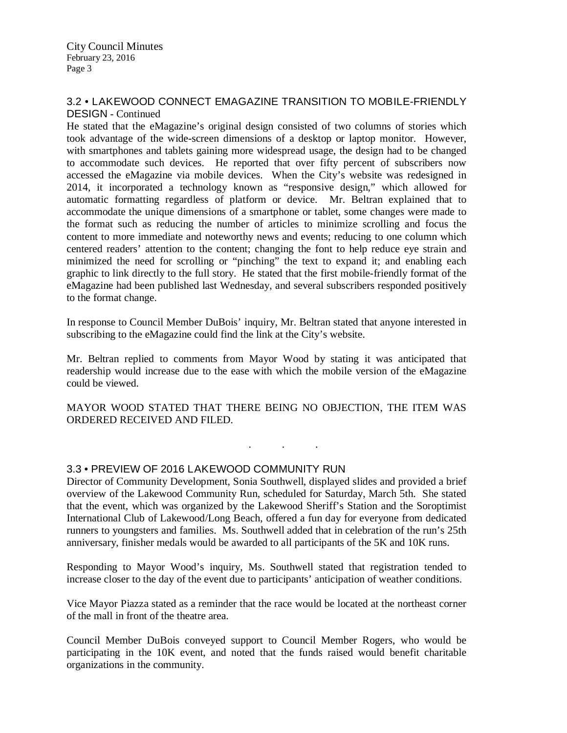City Council Minutes February 23, 2016 Page 3

### 3.2 • LAKEWOOD CONNECT EMAGAZINE TRANSITION TO MOBILE-FRIENDLY DESIGN - Continued

He stated that the eMagazine's original design consisted of two columns of stories which took advantage of the wide-screen dimensions of a desktop or laptop monitor. However, with smartphones and tablets gaining more widespread usage, the design had to be changed to accommodate such devices. He reported that over fifty percent of subscribers now accessed the eMagazine via mobile devices. When the City's website was redesigned in 2014, it incorporated a technology known as "responsive design," which allowed for automatic formatting regardless of platform or device. Mr. Beltran explained that to accommodate the unique dimensions of a smartphone or tablet, some changes were made to the format such as reducing the number of articles to minimize scrolling and focus the content to more immediate and noteworthy news and events; reducing to one column which centered readers' attention to the content; changing the font to help reduce eye strain and minimized the need for scrolling or "pinching" the text to expand it; and enabling each graphic to link directly to the full story. He stated that the first mobile-friendly format of the eMagazine had been published last Wednesday, and several subscribers responded positively to the format change.

In response to Council Member DuBois' inquiry, Mr. Beltran stated that anyone interested in subscribing to the eMagazine could find the link at the City's website.

Mr. Beltran replied to comments from Mayor Wood by stating it was anticipated that readership would increase due to the ease with which the mobile version of the eMagazine could be viewed.

MAYOR WOOD STATED THAT THERE BEING NO OBJECTION, THE ITEM WAS ORDERED RECEIVED AND FILED.

. . .

# 3.3 • PREVIEW OF 2016 LAKEWOOD COMMUNITY RUN

Director of Community Development, Sonia Southwell, displayed slides and provided a brief overview of the Lakewood Community Run, scheduled for Saturday, March 5th. She stated that the event, which was organized by the Lakewood Sheriff's Station and the Soroptimist International Club of Lakewood/Long Beach, offered a fun day for everyone from dedicated runners to youngsters and families. Ms. Southwell added that in celebration of the run's 25th anniversary, finisher medals would be awarded to all participants of the 5K and 10K runs.

Responding to Mayor Wood's inquiry, Ms. Southwell stated that registration tended to increase closer to the day of the event due to participants' anticipation of weather conditions.

Vice Mayor Piazza stated as a reminder that the race would be located at the northeast corner of the mall in front of the theatre area.

Council Member DuBois conveyed support to Council Member Rogers, who would be participating in the 10K event, and noted that the funds raised would benefit charitable organizations in the community.